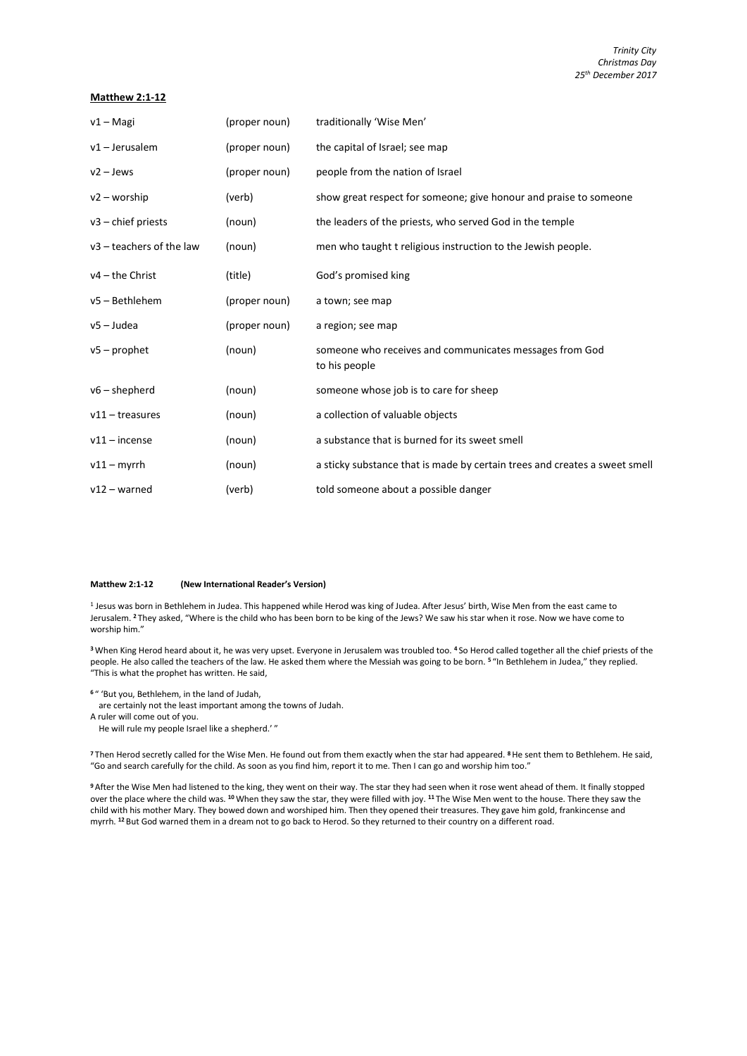## **Matthew 2:1-12**

| $v1 - Magi$                | (proper noun) | traditionally 'Wise Men'                                                   |
|----------------------------|---------------|----------------------------------------------------------------------------|
| $v1 -$ Jerusalem           | (proper noun) | the capital of Israel; see map                                             |
| $v2 - Jews$                | (proper noun) | people from the nation of Israel                                           |
| $v2 - worship$             | (verb)        | show great respect for someone; give honour and praise to someone          |
| $v3$ – chief priests       | (noun)        | the leaders of the priests, who served God in the temple                   |
| $v3$ – teachers of the law | (noun)        | men who taught t religious instruction to the Jewish people.               |
| $v4$ – the Christ          | (title)       | God's promised king                                                        |
| v5 - Bethlehem             | (proper noun) | a town; see map                                                            |
| v5 – Judea                 | (proper noun) | a region; see map                                                          |
| $v5$ – prophet             | (noun)        | someone who receives and communicates messages from God<br>to his people   |
| $v6$ – shepherd            | (noun)        | someone whose job is to care for sheep                                     |
| $v11$ – treasures          | (noun)        | a collection of valuable objects                                           |
| $v11$ – incense            | (noun)        | a substance that is burned for its sweet smell                             |
| $v11 - mvrr$ h             | (noun)        | a sticky substance that is made by certain trees and creates a sweet smell |
| $v12 - warned$             | (verb)        | told someone about a possible danger                                       |

## **Matthew 2:1-12 (New International Reader's Version)**

1 Jesus was born in Bethlehem in Judea. This happened while Herod was king of Judea. After Jesus' birth, Wise Men from the east came to Jerusalem. **<sup>2</sup>** They asked, "Where is the child who has been born to be king of the Jews? We saw his star when it rose. Now we have come to worship him."

**<sup>3</sup>** When King Herod heard about it, he was very upset. Everyone in Jerusalem was troubled too. **<sup>4</sup>** So Herod called together all the chief priests of the people. He also called the teachers of the law. He asked them where the Messiah was going to be born. **<sup>5</sup>** "In Bethlehem in Judea," they replied. "This is what the prophet has written. He said,

**<sup>6</sup>** " 'But you, Bethlehem, in the land of Judah,

are certainly not the least important among the towns of Judah.

A ruler will come out of you.

He will rule my people Israel like a shepherd.' "

**<sup>7</sup>** Then Herod secretly called for the Wise Men. He found out from them exactly when the star had appeared. **<sup>8</sup>**He sent them to Bethlehem. He said, "Go and search carefully for the child. As soon as you find him, report it to me. Then I can go and worship him too."

**<sup>9</sup>** After the Wise Men had listened to the king, they went on their way. The star they had seen when it rose went ahead of them. It finally stopped over the place where the child was. **<sup>10</sup>** When they saw the star, they were filled with joy. **<sup>11</sup>** The Wise Men went to the house. There they saw the child with his mother Mary. They bowed down and worshiped him. Then they opened their treasures. They gave him gold, frankincense and myrrh. **<sup>12</sup>** But God warned them in a dream not to go back to Herod. So they returned to their country on a different road.